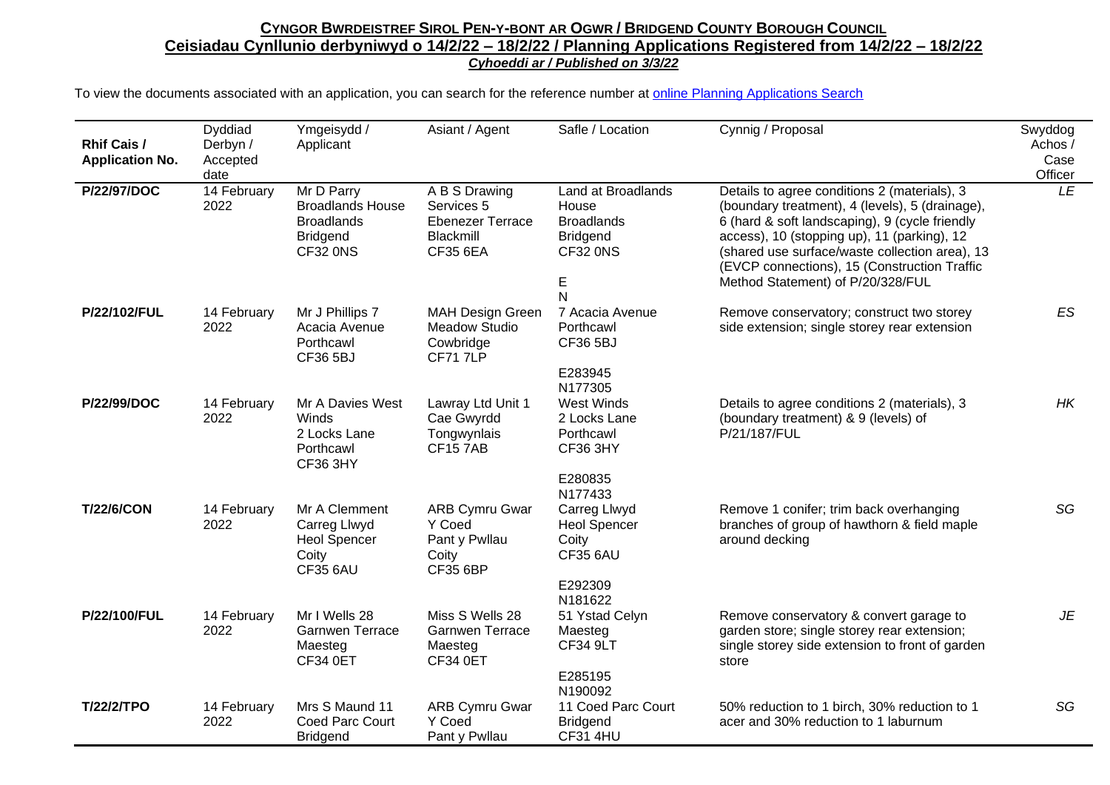| <b>Rhif Cais /</b><br><b>Application No.</b> | Dyddiad<br>Derbyn /<br>Accepted<br>date | Ymgeisydd /<br>Applicant                                                                               | Asiant / Agent                                                                         | Safle / Location                                                                          | Cynnig / Proposal                                                                                                                                                                                                                                                                                                                       | Swyddog<br>Achos /<br>Case<br>Officer |
|----------------------------------------------|-----------------------------------------|--------------------------------------------------------------------------------------------------------|----------------------------------------------------------------------------------------|-------------------------------------------------------------------------------------------|-----------------------------------------------------------------------------------------------------------------------------------------------------------------------------------------------------------------------------------------------------------------------------------------------------------------------------------------|---------------------------------------|
| P/22/97/DOC                                  | 14 February<br>2022                     | $\overline{Mr}$ D Parry<br><b>Broadlands House</b><br><b>Broadlands</b><br><b>Bridgend</b><br>CF32 ONS | A B S Drawing<br>Services 5<br><b>Ebenezer Terrace</b><br>Blackmill<br><b>CF35 6EA</b> | Land at Broadlands<br>House<br><b>Broadlands</b><br><b>Bridgend</b><br>CF32 0NS<br>E<br>N | Details to agree conditions 2 (materials), 3<br>(boundary treatment), 4 (levels), 5 (drainage),<br>6 (hard & soft landscaping), 9 (cycle friendly<br>access), 10 (stopping up), 11 (parking), 12<br>(shared use surface/waste collection area), 13<br>(EVCP connections), 15 (Construction Traffic<br>Method Statement) of P/20/328/FUL | LE                                    |
| P/22/102/FUL                                 | 14 February<br>2022                     | Mr J Phillips 7<br>Acacia Avenue<br>Porthcawl<br><b>CF36 5BJ</b>                                       | <b>MAH Design Green</b><br><b>Meadow Studio</b><br>Cowbridge<br><b>CF717LP</b>         | 7 Acacia Avenue<br>Porthcawl<br>CF36 5BJ<br>E283945<br>N177305                            | Remove conservatory; construct two storey<br>side extension; single storey rear extension                                                                                                                                                                                                                                               | <b>ES</b>                             |
| P/22/99/DOC                                  | 14 February<br>2022                     | Mr A Davies West<br>Winds<br>2 Locks Lane<br>Porthcawl<br>CF36 3HY                                     | Lawray Ltd Unit 1<br>Cae Gwyrdd<br>Tongwynlais<br><b>CF157AB</b>                       | West Winds<br>2 Locks Lane<br>Porthcawl<br><b>CF36 3HY</b><br>E280835<br>N177433          | Details to agree conditions 2 (materials), 3<br>(boundary treatment) & 9 (levels) of<br>P/21/187/FUL                                                                                                                                                                                                                                    | HK                                    |
| <b>T/22/6/CON</b>                            | 14 February<br>2022                     | Mr A Clemment<br>Carreg Llwyd<br><b>Heol Spencer</b><br>Coity<br><b>CF35 6AU</b>                       | <b>ARB Cymru Gwar</b><br>Y Coed<br>Pant y Pwllau<br>Coity<br><b>CF35 6BP</b>           | Carreg Llwyd<br><b>Heol Spencer</b><br>Coity<br><b>CF35 6AU</b><br>E292309<br>N181622     | Remove 1 conifer; trim back overhanging<br>branches of group of hawthorn & field maple<br>around decking                                                                                                                                                                                                                                | SG                                    |
| P/22/100/FUL                                 | 14 February<br>2022                     | Mr I Wells 28<br><b>Garnwen Terrace</b><br>Maesteg<br><b>CF34 0ET</b>                                  | Miss S Wells 28<br><b>Garnwen Terrace</b><br>Maesteg<br>CF34 0ET                       | 51 Ystad Celyn<br>Maesteg<br><b>CF34 9LT</b><br>E285195<br>N190092                        | Remove conservatory & convert garage to<br>garden store; single storey rear extension;<br>single storey side extension to front of garden<br>store                                                                                                                                                                                      | JE                                    |
| <b>T/22/2/TPO</b>                            | 14 February<br>2022                     | Mrs S Maund 11<br>Coed Parc Court<br><b>Bridgend</b>                                                   | <b>ARB Cymru Gwar</b><br>Y Coed<br>Pant y Pwllau                                       | 11 Coed Parc Court<br><b>Bridgend</b><br><b>CF31 4HU</b>                                  | 50% reduction to 1 birch, 30% reduction to 1<br>acer and 30% reduction to 1 laburnum                                                                                                                                                                                                                                                    | SG                                    |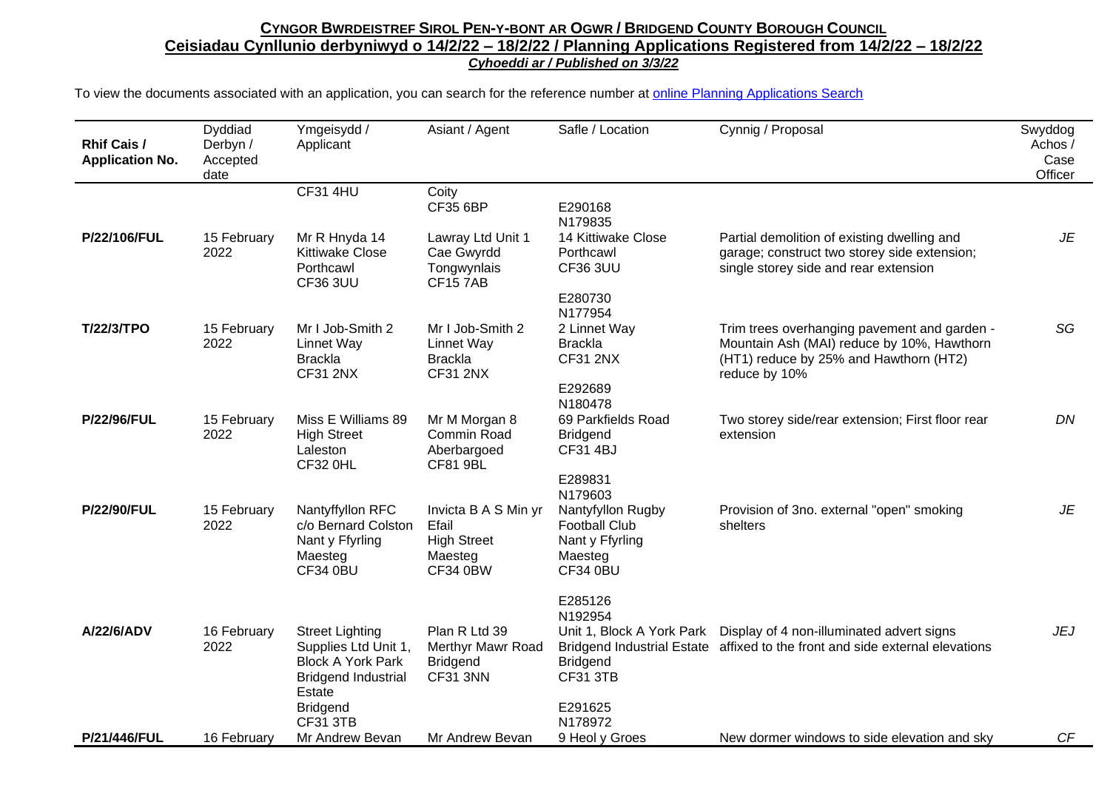| <b>Rhif Cais /</b><br><b>Application No.</b> | Dyddiad<br>Derbyn /<br>Accepted<br>date | Ymgeisydd /<br>Applicant                                                                                           | Asiant / Agent                                                                    | Safle / Location                                                                           | Cynnig / Proposal                                                                                                                                     | Swyddog<br>Achos /<br>Case<br>Officer |
|----------------------------------------------|-----------------------------------------|--------------------------------------------------------------------------------------------------------------------|-----------------------------------------------------------------------------------|--------------------------------------------------------------------------------------------|-------------------------------------------------------------------------------------------------------------------------------------------------------|---------------------------------------|
|                                              |                                         | <b>CF31 4HU</b>                                                                                                    | Coity<br><b>CF35 6BP</b>                                                          | E290168<br>N179835                                                                         |                                                                                                                                                       |                                       |
| P/22/106/FUL                                 | 15 February<br>2022                     | Mr R Hnyda 14<br><b>Kittiwake Close</b><br>Porthcawl<br><b>CF36 3UU</b>                                            | Lawray Ltd Unit 1<br>Cae Gwyrdd<br>Tongwynlais<br><b>CF157AB</b>                  | 14 Kittiwake Close<br>Porthcawl<br><b>CF36 3UU</b>                                         | Partial demolition of existing dwelling and<br>garage; construct two storey side extension;<br>single storey side and rear extension                  | JE                                    |
|                                              |                                         |                                                                                                                    |                                                                                   | E280730<br>N177954                                                                         |                                                                                                                                                       |                                       |
| <b>T/22/3/TPO</b>                            | 15 February<br>2022                     | Mr I Job-Smith 2<br>Linnet Way<br><b>Brackla</b><br><b>CF31 2NX</b>                                                | Mr I Job-Smith 2<br>Linnet Way<br><b>Brackla</b><br><b>CF31 2NX</b>               | 2 Linnet Way<br><b>Brackla</b><br><b>CF31 2NX</b>                                          | Trim trees overhanging pavement and garden -<br>Mountain Ash (MAI) reduce by 10%, Hawthorn<br>(HT1) reduce by 25% and Hawthorn (HT2)<br>reduce by 10% | SG                                    |
|                                              |                                         |                                                                                                                    |                                                                                   | E292689<br>N180478                                                                         |                                                                                                                                                       |                                       |
| <b>P/22/96/FUL</b>                           | 15 February<br>2022                     | Miss E Williams 89<br><b>High Street</b><br>Laleston<br><b>CF32 0HL</b>                                            | Mr M Morgan 8<br>Commin Road<br>Aberbargoed<br><b>CF81 9BL</b>                    | 69 Parkfields Road<br><b>Bridgend</b><br><b>CF31 4BJ</b>                                   | Two storey side/rear extension; First floor rear<br>extension                                                                                         | DN                                    |
|                                              |                                         |                                                                                                                    |                                                                                   | E289831<br>N179603                                                                         |                                                                                                                                                       |                                       |
| <b>P/22/90/FUL</b>                           | 15 February<br>2022                     | Nantyffyllon RFC<br>c/o Bernard Colston<br>Nant y Ffyrling<br>Maesteg<br>CF34 0BU                                  | Invicta B A S Min yr<br>Efail<br><b>High Street</b><br>Maesteg<br><b>CF34 0BW</b> | Nantyfyllon Rugby<br><b>Football Club</b><br>Nant y Ffyrling<br>Maesteg<br><b>CF34 0BU</b> | Provision of 3no. external "open" smoking<br>shelters                                                                                                 | JE                                    |
|                                              |                                         |                                                                                                                    |                                                                                   | E285126                                                                                    |                                                                                                                                                       |                                       |
| A/22/6/ADV                                   | 16 February<br>2022                     | <b>Street Lighting</b><br>Supplies Ltd Unit 1,<br><b>Block A York Park</b><br><b>Bridgend Industrial</b><br>Estate | Plan R Ltd 39<br>Merthyr Mawr Road<br><b>Bridgend</b><br>CF31 3NN                 | N192954<br><b>Bridgend</b><br><b>CF31 3TB</b>                                              | Unit 1, Block A York Park  Display of 4 non-illuminated advert signs<br>Bridgend Industrial Estate affixed to the front and side external elevations  | <b>JEJ</b>                            |
|                                              |                                         | <b>Bridgend</b><br><b>CF31 3TB</b>                                                                                 |                                                                                   | E291625<br>N178972                                                                         |                                                                                                                                                       |                                       |
| P/21/446/FUL                                 | 16 February                             | Mr Andrew Bevan                                                                                                    | Mr Andrew Bevan                                                                   | 9 Heol y Groes                                                                             | New dormer windows to side elevation and sky                                                                                                          | CF                                    |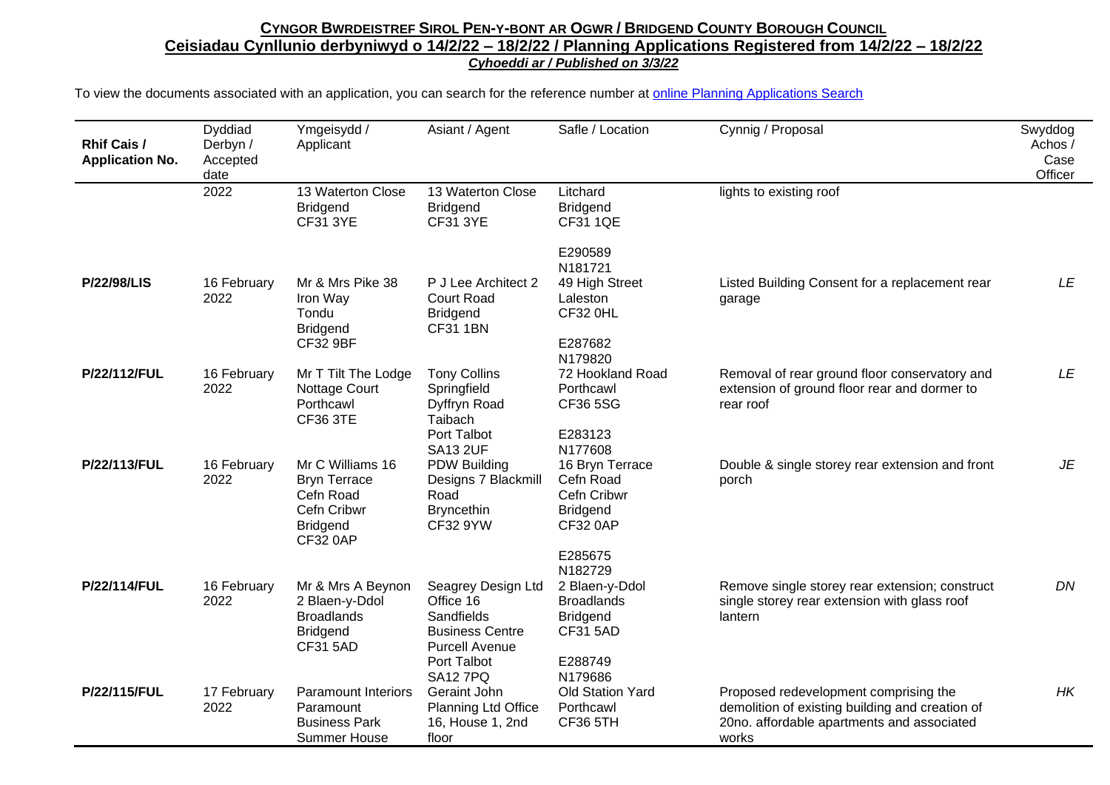| <b>Rhif Cais /</b><br><b>Application No.</b> | Dyddiad<br>Derbyn /<br>Accepted<br>date | Ymgeisydd /<br>Applicant                                                                                  | Asiant / Agent                                                                                                                     | Safle / Location                                                                                        | Cynnig / Proposal                                                                                                                               | Swyddog<br>Achos /<br>Case<br>Officer |
|----------------------------------------------|-----------------------------------------|-----------------------------------------------------------------------------------------------------------|------------------------------------------------------------------------------------------------------------------------------------|---------------------------------------------------------------------------------------------------------|-------------------------------------------------------------------------------------------------------------------------------------------------|---------------------------------------|
|                                              | 2022                                    | 13 Waterton Close<br><b>Bridgend</b><br><b>CF31 3YE</b>                                                   | 13 Waterton Close<br><b>Bridgend</b><br><b>CF31 3YE</b>                                                                            | Litchard<br><b>Bridgend</b><br>CF31 1QE                                                                 | lights to existing roof                                                                                                                         |                                       |
|                                              |                                         |                                                                                                           |                                                                                                                                    | E290589<br>N181721                                                                                      |                                                                                                                                                 |                                       |
| <b>P/22/98/LIS</b>                           | 16 February<br>2022                     | Mr & Mrs Pike 38<br>Iron Way<br>Tondu<br><b>Bridgend</b><br><b>CF32 9BF</b>                               | P J Lee Architect 2<br><b>Court Road</b><br><b>Bridgend</b><br><b>CF31 1BN</b>                                                     | 49 High Street<br>Laleston<br><b>CF32 0HL</b><br>E287682<br>N179820                                     | Listed Building Consent for a replacement rear<br>garage                                                                                        | LE                                    |
| P/22/112/FUL                                 | 16 February<br>2022                     | Mr T Tilt The Lodge<br>Nottage Court<br>Porthcawl<br><b>CF36 3TE</b>                                      | <b>Tony Collins</b><br>Springfield<br>Dyffryn Road<br>Taibach<br>Port Talbot<br><b>SA13 2UF</b>                                    | 72 Hookland Road<br>Porthcawl<br>CF36 5SG<br>E283123<br>N177608                                         | Removal of rear ground floor conservatory and<br>extension of ground floor rear and dormer to<br>rear roof                                      | LE                                    |
| P/22/113/FUL                                 | 16 February<br>2022                     | Mr C Williams 16<br><b>Bryn Terrace</b><br>Cefn Road<br>Cefn Cribwr<br><b>Bridgend</b><br><b>CF32 0AP</b> | <b>PDW Building</b><br>Designs 7 Blackmill<br>Road<br><b>Bryncethin</b><br><b>CF32 9YW</b>                                         | 16 Bryn Terrace<br>Cefn Road<br>Cefn Cribwr<br><b>Bridgend</b><br><b>CF32 0AP</b><br>E285675<br>N182729 | Double & single storey rear extension and front<br>porch                                                                                        | JE                                    |
| P/22/114/FUL                                 | 16 February<br>2022                     | Mr & Mrs A Beynon<br>2 Blaen-y-Ddol<br><b>Broadlands</b><br><b>Bridgend</b><br><b>CF31 5AD</b>            | Seagrey Design Ltd<br>Office 16<br>Sandfields<br><b>Business Centre</b><br><b>Purcell Avenue</b><br>Port Talbot<br><b>SA12 7PQ</b> | 2 Blaen-y-Ddol<br><b>Broadlands</b><br><b>Bridgend</b><br><b>CF31 5AD</b><br>E288749<br>N179686         | Remove single storey rear extension; construct<br>single storey rear extension with glass roof<br>lantern                                       | DN                                    |
| P/22/115/FUL                                 | 17 February<br>2022                     | <b>Paramount Interiors</b><br>Paramount<br><b>Business Park</b><br><b>Summer House</b>                    | Geraint John<br><b>Planning Ltd Office</b><br>16, House 1, 2nd<br>floor                                                            | <b>Old Station Yard</b><br>Porthcawl<br>CF36 5TH                                                        | Proposed redevelopment comprising the<br>demolition of existing building and creation of<br>20no. affordable apartments and associated<br>works | HK                                    |